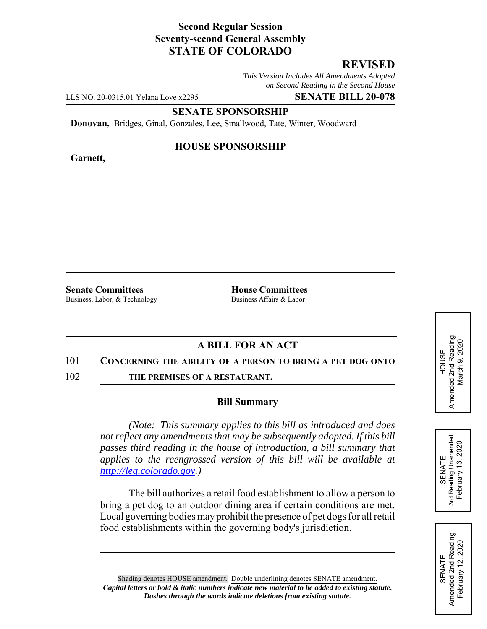### **Second Regular Session Seventy-second General Assembly STATE OF COLORADO**

# **REVISED**

*This Version Includes All Amendments Adopted on Second Reading in the Second House*

LLS NO. 20-0315.01 Yelana Love x2295 **SENATE BILL 20-078**

**SENATE SPONSORSHIP**

**Donovan,** Bridges, Ginal, Gonzales, Lee, Smallwood, Tate, Winter, Woodward

**Garnett,**

#### **HOUSE SPONSORSHIP**

**Senate Committees**<br>Business Labor. & Technology **House Committees**<br>Business Affairs & Labor Business, Labor, & Technology

## **A BILL FOR AN ACT**

#### 101 **CONCERNING THE ABILITY OF A PERSON TO BRING A PET DOG ONTO**

102 **THE PREMISES OF A RESTAURANT.**

#### **Bill Summary**

*(Note: This summary applies to this bill as introduced and does not reflect any amendments that may be subsequently adopted. If this bill passes third reading in the house of introduction, a bill summary that applies to the reengrossed version of this bill will be available at http://leg.colorado.gov.)*

The bill authorizes a retail food establishment to allow a person to bring a pet dog to an outdoor dining area if certain conditions are met. Local governing bodies may prohibit the presence of pet dogs for all retail food establishments within the governing body's jurisdiction.

Shading denotes HOUSE amendment. Double underlining denotes SENATE amendment. *Capital letters or bold & italic numbers indicate new material to be added to existing statute. Dashes through the words indicate deletions from existing statute.*

Amended 2nd Reading<br>March 9, 2020 Amended 2nd Reading March 9, 2020 HOUSE



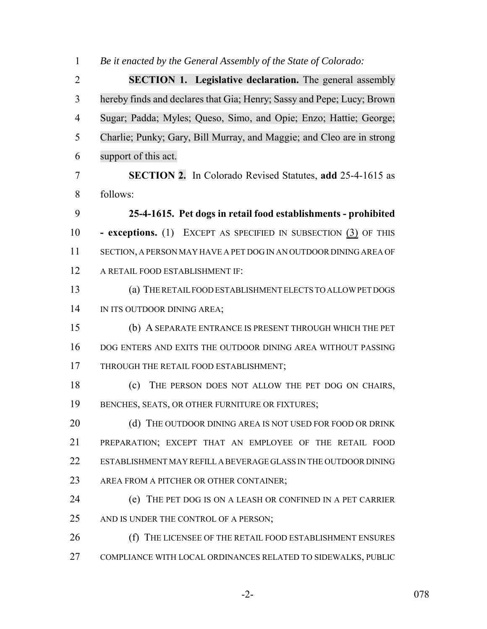*Be it enacted by the General Assembly of the State of Colorado:*

 **SECTION 1. Legislative declaration.** The general assembly hereby finds and declares that Gia; Henry; Sassy and Pepe; Lucy; Brown Sugar; Padda; Myles; Queso, Simo, and Opie; Enzo; Hattie; George; Charlie; Punky; Gary, Bill Murray, and Maggie; and Cleo are in strong support of this act.

 **SECTION 2.** In Colorado Revised Statutes, **add** 25-4-1615 as follows:

 **25-4-1615. Pet dogs in retail food establishments - prohibited - exceptions.** (1) EXCEPT AS SPECIFIED IN SUBSECTION (3) OF THIS SECTION, A PERSON MAY HAVE A PET DOG IN AN OUTDOOR DINING AREA OF A RETAIL FOOD ESTABLISHMENT IF:

 (a) THE RETAIL FOOD ESTABLISHMENT ELECTS TO ALLOW PET DOGS 14 IN ITS OUTDOOR DINING AREA;

 (b) A SEPARATE ENTRANCE IS PRESENT THROUGH WHICH THE PET DOG ENTERS AND EXITS THE OUTDOOR DINING AREA WITHOUT PASSING 17 THROUGH THE RETAIL FOOD ESTABLISHMENT;

 (c) THE PERSON DOES NOT ALLOW THE PET DOG ON CHAIRS, BENCHES, SEATS, OR OTHER FURNITURE OR FIXTURES;

20 (d) THE OUTDOOR DINING AREA IS NOT USED FOR FOOD OR DRINK PREPARATION; EXCEPT THAT AN EMPLOYEE OF THE RETAIL FOOD ESTABLISHMENT MAY REFILL A BEVERAGE GLASS IN THE OUTDOOR DINING 23 AREA FROM A PITCHER OR OTHER CONTAINER;

 (e) THE PET DOG IS ON A LEASH OR CONFINED IN A PET CARRIER 25 AND IS UNDER THE CONTROL OF A PERSON;

 (f) THE LICENSEE OF THE RETAIL FOOD ESTABLISHMENT ENSURES COMPLIANCE WITH LOCAL ORDINANCES RELATED TO SIDEWALKS, PUBLIC